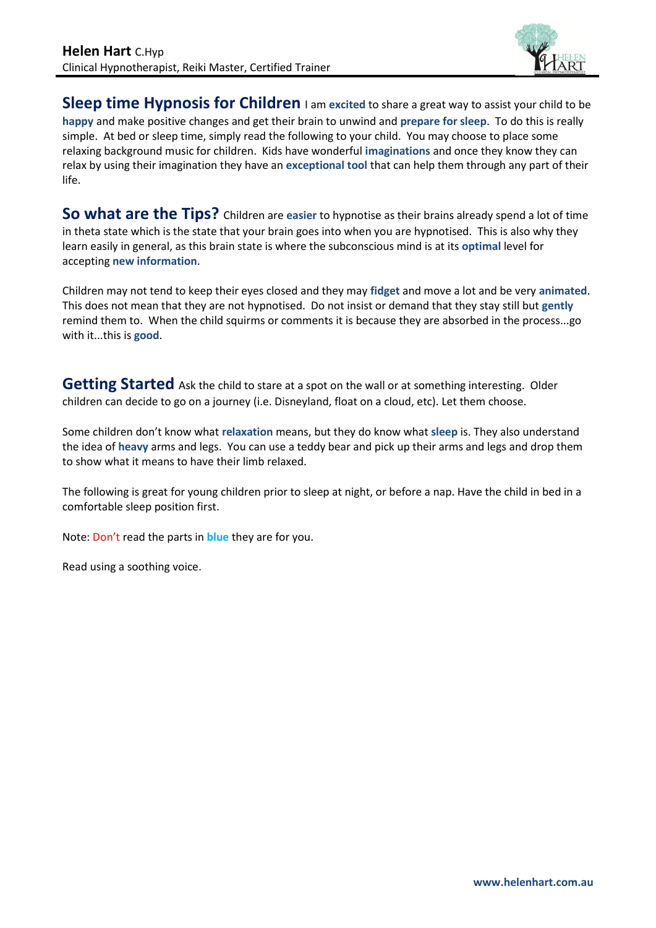

**Sleep time Hypnosis for Children** I am excited to share a great way to assist your child to be **happy** and make positive changes and get their brain to unwind and **prepare for sleep**. To do this is really simple. At bed or sleep time, simply read the following to your child. You may choose to place some relaxing background music for children. Kids have wonderful **imaginations** and once they know they can relax by using their imagination they have an **exceptional tool** that can help them through any part of their life.

**So what are the Tips?** Children are **easier** to hypnotise as their brains already spend a lot of time in theta state which is the state that your brain goes into when you are hypnotised. This is also why they learn easily in general, as this brain state is where the subconscious mind is at its **optimal** level for accepting **new information**.

Children may not tend to keep their eyes closed and they may **fidget** and move a lot and be very **animated**. This does not mean that they are not hypnotised. Do not insist or demand that they stay still but **gently** remind them to. When the child squirms or comments it is because they are absorbed in the process...go with it...this is **good**.

**Getting Started** Ask the child to stare at a spot on the wall or at something interesting. Older children can decide to go on a journey (i.e. Disneyland, float on a cloud, etc). Let them choose.

Some children don't know what **relaxation** means, but they do know what **sleep** is. They also understand the idea of **heavy** arms and legs. You can use a teddy bear and pick up their arms and legs and drop them to show what it means to have their limb relaxed.

The following is great for young children prior to sleep at night, or before a nap. Have the child in bed in a comfortable sleep position first.

Note: Don't read the parts in **blue** they are for you.

Read using a soothing voice.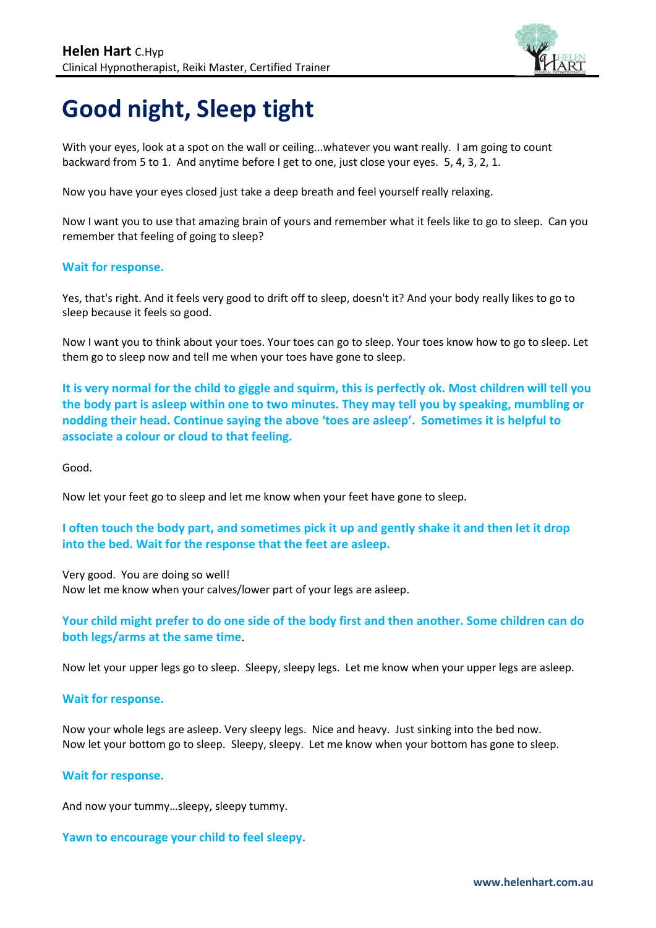

# **Good night, Sleep tight**

With your eyes, look at a spot on the wall or ceiling...whatever you want really. I am going to count backward from 5 to 1. And anytime before I get to one, just close your eyes. 5, 4, 3, 2, 1.

Now you have your eyes closed just take a deep breath and feel yourself really relaxing.

Now I want you to use that amazing brain of yours and remember what it feels like to go to sleep. Can you remember that feeling of going to sleep?

#### **Wait for response.**

Yes, that's right. And it feels very good to drift off to sleep, doesn't it? And your body really likes to go to sleep because it feels so good.

Now I want you to think about your toes. Your toes can go to sleep. Your toes know how to go to sleep. Let them go to sleep now and tell me when your toes have gone to sleep.

**It is very normal for the child to giggle and squirm, this is perfectly ok. Most children will tell you the body part is asleep within one to two minutes. They may tell you by speaking, mumbling or nodding their head. Continue saying the above 'toes are asleep'. Sometimes it is helpful to associate a colour or cloud to that feeling.**

Good.

Now let your feet go to sleep and let me know when your feet have gone to sleep.

### **I often touch the body part, and sometimes pick it up and gently shake it and then let it drop into the bed. Wait for the response that the feet are asleep.**

Very good. You are doing so well! Now let me know when your calves/lower part of your legs are asleep.

**Your child might prefer to do one side of the body first and then another. Some children can do both legs/arms at the same time**.

Now let your upper legs go to sleep. Sleepy, sleepy legs. Let me know when your upper legs are asleep.

#### **Wait for response.**

Now your whole legs are asleep. Very sleepy legs. Nice and heavy. Just sinking into the bed now. Now let your bottom go to sleep. Sleepy, sleepy. Let me know when your bottom has gone to sleep.

#### **Wait for response.**

And now your tummy…sleepy, sleepy tummy.

**Yawn to encourage your child to feel sleepy.**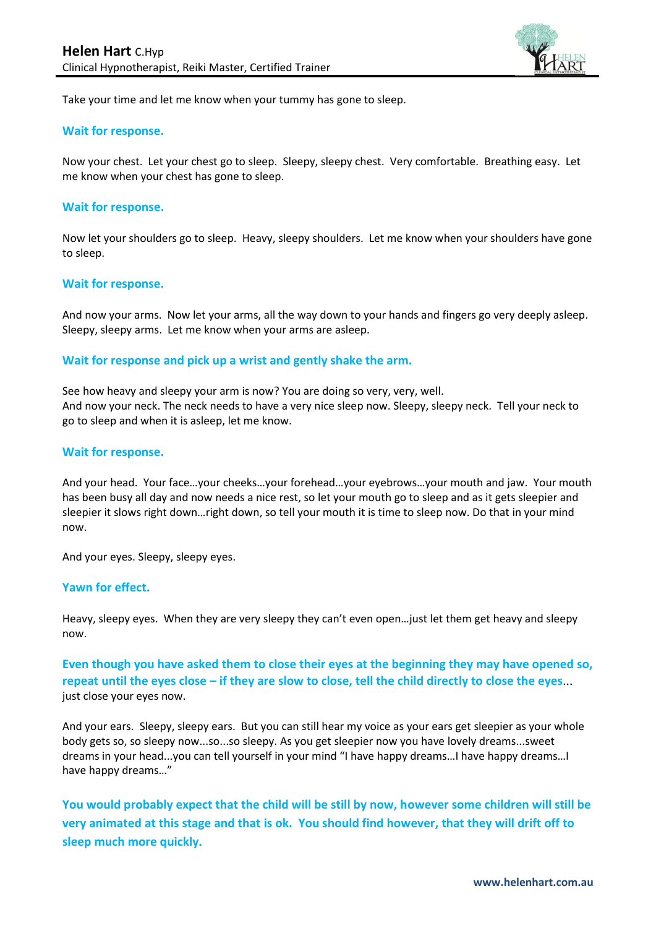

Take your time and let me know when your tummy has gone to sleep.

#### **Wait for response.**

Now your chest. Let your chest go to sleep. Sleepy, sleepy chest. Very comfortable. Breathing easy. Let me know when your chest has gone to sleep.

#### **Wait for response.**

Now let your shoulders go to sleep. Heavy, sleepy shoulders. Let me know when your shoulders have gone to sleep.

#### **Wait for response.**

And now your arms. Now let your arms, all the way down to your hands and fingers go very deeply asleep. Sleepy, sleepy arms. Let me know when your arms are asleep.

#### **Wait for response and pick up a wrist and gently shake the arm.**

See how heavy and sleepy your arm is now? You are doing so very, very, well. And now your neck. The neck needs to have a very nice sleep now. Sleepy, sleepy neck. Tell your neck to go to sleep and when it is asleep, let me know.

#### **Wait for response.**

And your head. Your face…your cheeks…your forehead…your eyebrows…your mouth and jaw. Your mouth has been busy all day and now needs a nice rest, so let your mouth go to sleep and as it gets sleepier and sleepier it slows right down…right down, so tell your mouth it is time to sleep now. Do that in your mind now.

And your eyes. Sleepy, sleepy eyes.

#### **Yawn for effect.**

Heavy, sleepy eyes. When they are very sleepy they can't even open…just let them get heavy and sleepy now.

**Even though you have asked them to close their eyes at the beginning they may have opened so, repeat until the eyes close – if they are slow to close, tell the child directly to close the eyes**... just close your eyes now.

And your ears. Sleepy, sleepy ears. But you can still hear my voice as your ears get sleepier as your whole body gets so, so sleepy now...so...so sleepy. As you get sleepier now you have lovely dreams...sweet dreams in your head...you can tell yourself in your mind "I have happy dreams…I have happy dreams…I have happy dreams…"

**You would probably expect that the child will be still by now, however some children will still be very animated at this stage and that is ok. You should find however, that they will drift off to sleep much more quickly.**